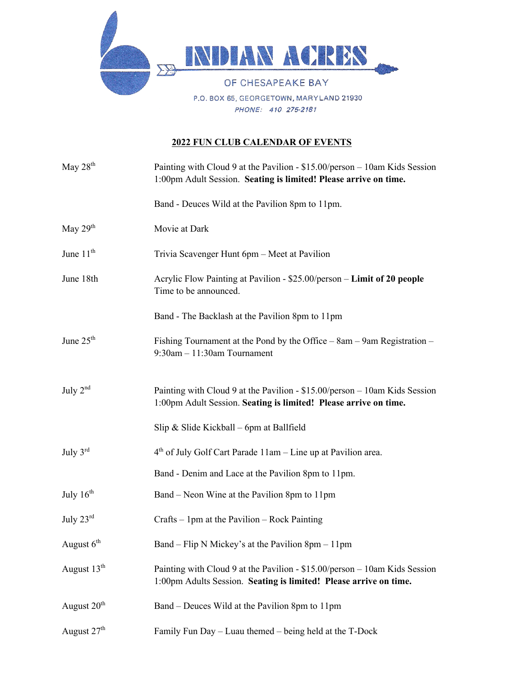

## **2022 FUN CLUB CALENDAR OF EVENTS**

| May 28 <sup>th</sup>    | Painting with Cloud 9 at the Pavilion - \$15.00/person - 10am Kids Session<br>1:00pm Adult Session. Seating is limited! Please arrive on time.  |
|-------------------------|-------------------------------------------------------------------------------------------------------------------------------------------------|
|                         | Band - Deuces Wild at the Pavilion 8pm to 11pm.                                                                                                 |
| May $29th$              | Movie at Dark                                                                                                                                   |
| June $11th$             | Trivia Scavenger Hunt 6pm - Meet at Pavilion                                                                                                    |
| June 18th               | Acrylic Flow Painting at Pavilion - \$25.00/person - Limit of 20 people<br>Time to be announced.                                                |
|                         | Band - The Backlash at the Pavilion 8pm to 11pm                                                                                                 |
| June 25 <sup>th</sup>   | Fishing Tournament at the Pond by the Office $-$ 8am $-$ 9am Registration $-$<br>$9:30$ am $-11:30$ am Tournament                               |
| July $2nd$              | Painting with Cloud 9 at the Pavilion - \$15.00/person - 10am Kids Session<br>1:00pm Adult Session. Seating is limited! Please arrive on time.  |
|                         | Slip & Slide Kickball – 6pm at Ballfield                                                                                                        |
| July $3^{\text{rd}}$    | 4 <sup>th</sup> of July Golf Cart Parade 11am - Line up at Pavilion area.                                                                       |
|                         | Band - Denim and Lace at the Pavilion 8pm to 11pm.                                                                                              |
| July $16^{th}$          | Band – Neon Wine at the Pavilion 8pm to 11pm                                                                                                    |
| July 23rd               | Crafts – 1pm at the Pavilion – Rock Painting                                                                                                    |
| August $6th$            | Band – Flip N Mickey's at the Pavilion $8pm - 11pm$                                                                                             |
| August 13 <sup>th</sup> | Painting with Cloud 9 at the Pavilion - \$15.00/person - 10am Kids Session<br>1:00pm Adults Session. Seating is limited! Please arrive on time. |
| August 20 <sup>th</sup> | Band – Deuces Wild at the Pavilion 8pm to 11pm                                                                                                  |
| August 27 <sup>th</sup> | Family Fun Day – Luau themed – being held at the T-Dock                                                                                         |